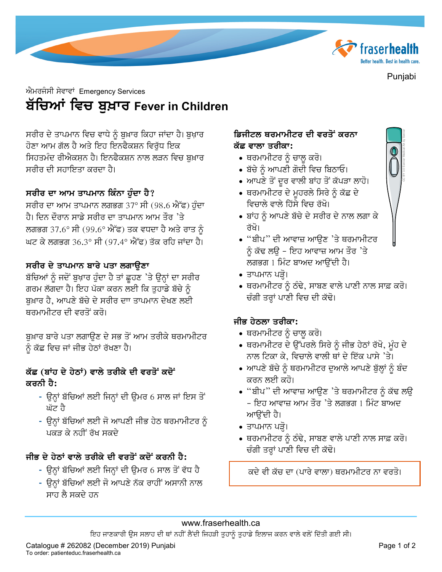

Punjabi

# ਐਮਰਜੰਸੀ ਸੇਵਾਵਾਂ Emergency Services ਬੱਚਿਆਂ ਵਿਚ ਬੁਖ਼ਾਰ Fever in Children

ਸਰੀਰ ਦੇ ਤਾਪਮਾਨ ਵਿਚ ਵਾਧੇ ਨੂੰ ਬੁਖ਼ਾਰ ਕਿਹਾ ਜਾਂਦਾ ਹੈ। ਬੁਖ਼ਾਰ ਹੋਣਾ ਆਮ ਗੱਲ ਹੈ ਅਤੇ ਇਹ ਇਨਫੈਕਸ਼ਨ ਵਿਰੱਧ ਇਕ ਸਿਹਤਮੰਦ ਰੀਐਕਸ਼ਨ ਹੈ। ਇਨਫੈਕਸ਼ਨ ਨਾਲ ਲੜਨ ਵਿਚ ਬੁਖ਼ਾਰ ਸਰੀਰ ਦੀ ਸਹਾਇਤਾ ਕਰਦਾ ਹੈ।

## ਸਰੀਰ ਦਾ ਆਮ ਤਾਪਮਾਨ ਕਿੰਨਾ ਹੰਦਾ ਹੈ?

ਸਰੀਰ ਦਾ ਆਮ ਤਾਪਮਾਨ ਲਗਭਗ 37° ਸੀ (98.6 ਐੱਫ) ਹੰਦਾ ਹੈ। ਦਿਨ ਦੌਰਾਨ ਸਾਡੇ ਸਰੀਰ ਦਾ ਤਾਪਮਾਨ ਆਮ ਤੌਰ 'ਤੇ ਲਗਭਗ 37.6° ਸੀ (99.6° ਐੱਫ) ਤਕ ਵਧਦਾ ਹੈ ਅਤੇ ਰਾਤ ਨੂੰ ਘਟ ਕੇ ਲਗਭਗ 36.3° ਸੀ (97.4° ਐੱਫ) ਤੱਕ ਰਹਿ ਜਾਂਦਾ ਹੈ।

#### ਸਰੀਰ ਦੇ ਤਾਪਮਾਨ ਬਾਰੇ ਪਤਾ ਲਗਾੳਣਾ

ਬੱਚਿਆਂ ਨੂੰ ਜਦੋਂ ਬੁਖ਼ਾਰ ਹੁੰਦਾ ਹੈ ਤਾਂ ਛੁਹਣ 'ਤੇ ਉਨ੍ਹਾਂ ਦਾ ਸਰੀਰ ਗਰਮ ਲੱਗਦਾ ਹੈ। ਇਹ ਪੱਕਾ ਕਰਨ ਲਈ ਕਿ ਤੁਹਾਡੇ ਬੱਚੇ ਨੂੰ ਬਖ਼ਾਰ ਹੈ. ਆਪਣੇ ਬੱਚੇ ਦੇ ਸਰੀਰ ਦਾਾ ਤਾਪਮਾਨ ਦੇਖਣ ਲਈ ਥਰਮਾਮੀਟਰ ਦੀ ਵਰਤੋਂ ਕਰੋ।

ਬੁਖ਼ਾਰ ਬਾਰੇ ਪਤਾ ਲਗਾਉਣ ਦੇ ਸਭ ਤੋਂ ਆਮ ਤਰੀਕੇ ਥਰਮਾਮੀਟਰ ਨੂੰ ਕੱਛ ਵਿਚ ਜਾਂ ਜੀਭ ਹੇਠਾਂ ਰੱਖਣਾ ਹੈ।

## ਕੱਛ (ਬਾਂਹ ਦੇ ਹੇਠਾਂ) ਵਾਲੇ ਤਰੀਕੇ ਦੀ ਵਰਤੋਂ ਕਦੋਂ ਕਰਨੀ ਹੈ:

- ਉਨ੍ਹਾਂ ਬੱਚਿਆਂ ਲਈ ਜਿਨ੍ਹਾਂ ਦੀ ਉਮਰ 6 ਸਾਲ ਜਾਂ ਇਸ ਤੋਂ ਘੱਟ ਹੈ
- ਉਨ੍ਹਾਂ ਬੱਚਿਆਂ ਲਈ ਜੋ ਆਪਣੀ ਜੀਭ ਹੇਠ ਥਰਮਾਮੀਟਰ ਨੂੰ ਪਕਤ ਕੇ ਨਹੀਂ ਰੱਖ ਸਕਦੇ

## ਜੀਭ ਦੇ ਹੇਨਾਂ ਵਾਲੇ ਤਰੀਕੇ ਦੀ ਵਰਤੋਂ ਕਦੋਂ ਕਰਨੀ ਹੈ:

- ਉਨ੍ਹਾਂ ਬੱਚਿਆਂ ਲਈ ਜਿਨ੍ਹਾਂ ਦੀ ਉਮਰ 6 ਸਾਲ ਤੋਂ ਵੱਧ ਹੈ
- ਉਨ੍ਹਾਂ ਬੱਚਿਆਂ ਲਈ ਜੋ ਆਪਣੇ ਨੱਕ ਰਾਹੀਂ ਅਸਾਨੀ ਨਾਲ ਸਾਹ ਲੈ ਸਕਦੇ ਹਨ

#### ਡਿਜੀਟਲ ਥਰਮਾਮੀਟਰ ਦੀ ਵਰਤੋਂ<sup>:</sup> ਕਰਨਾ ਕੱਛ ਵਾਲਾ ਤਰੀਕਾ:

- ∙ ਥਰਮਾਮੀਟਰ ਨੂੰ ਚਾਲ਼ ਕਰੋ।
- ਬੱਚੇ ਨੰ ਆਪਣੀ ਗੋਦੀ ਵਿਚ ਬਿਠਾਓ।
- ਆਪਣੇ ਤੋਂ ਦੂਰ ਵਾਲੀ ਬਾਂਹ ਤੋਂ ਕੱਪੜਾ ਲਾਹੋ।
- ∙ ਥਰਮਾਮੀਟਰ ਦੇ ਮੁਹਰਲੇ ਸਿਰੇ ਨੂੰ ਕੱਛ ਦੇ ਵਿਚਾਲੇ ਵਾਲੇ ਹਿੱਸੇ ਵਿਚ ਰੱਖੋ।
- ਬਾਂਹ ਨੂੰ ਆਪਣੇ ਬੱਚੇ ਦੇ ਸਰੀਰ ਦੇ ਨਾਲ ਲਗਾ ਕੇ ਰੱਖੋ।
- "ਬੀਪ" ਦੀ ਆਵਾਜ਼ ਆੳਣ 'ਤੇ ਥਰਮਾਮੀਟਰ ਨੰ ਕੱਢ ਲੳ - ਇਹ ਆਵਾਜ਼ ਆਮ ਤੌਰ 'ਤੇ ਲਗਭਗ 1 ਮਿੰਟ ਬਾਅਦ ਆਉਂਦੀ ਹੈ।
- ∙ ਤਾਪਮਾਨ ਪੜ੍ਹੋ।
- ਥਰਮਾਮੀਟਰ ਨੂੰ ਠੰਢੇ, ਸਾਬਣ ਵਾਲੇ ਪਾਣੀ ਨਾਲ ਸਾਫ਼ ਕਰੋ। ਚੰਗੀ ਤਰ੍ਹਾਂ ਪਾਣੀ ਵਿਚ ਦੀ ਕੱਢੋ।

# ਜੀਭ ਹੇਨਲਾ ਤਰੀਕਾ:

- ਥਰਮਾਮੀਟਰ ਨੂੰ ਚਾਲੂ ਕਰੋ।
- ∙ ਥਰਮਾਮੀਟਰ ਦੇ ਉੱਪਰਲੇ ਸਿਰੇ ਨੂੰ ਜੀਭ ਹੇਠਾਂ ਰੱਖੋ, ਮੂੰਹ ਦੇ ਨਾਲ ਟਿਕਾ ਕੇ, ਵਿਚਾਲੇ ਵਾਲੀ ਥਾਂ ਦੇ ਇੱਕ ਪਾਸੇ 'ਤੇ।
- ਆਪਣੇ ਬੱਚੇ ਨੂੰ ਥਰਮਾਮੀਟਰ ਦੁਆਲੇ ਆਪਣੇ ਬੁੱਲ੍ਹਾਂ ਨੂੰ ਬੰਦ ਕਰਨ ਲਈ ਕਹੋ।
- "ਬੀਪ" ਦੀ ਆਵਾਜ਼ ਆਉਣ 'ਤੇ ਥਰਮਾਮੀਟਰ ਨੂੰ ਕੱਢ ਲਉ – ਇਹ ਆਵਾਜ਼ ਆਮ ਤੌਰ 'ਤੇ ਲਗਭਗ 1 ਮਿੰਟ ਬਾਅਦ ਆੳਂਦੀ ਹੈ।
- ਤਾਪਮਾਨ ਪੜ੍ਹੋ।
- ∙ ਥਰਮਾਮੀਟਰ ਨੂੰ ਠੰਢੇ, ਸਾਬਣ ਵਾਲੇ ਪਾਣੀ ਨਾਲ ਸਾਫ਼ ਕਰੋ। ਚੰਗੀ ਤਰ੍ਹਾਂ ਪਾਣੀ ਵਿਚ ਦੀ ਕੱਢੋ।

ਕਦੇ ਵੀ ਕੱਚ ਦਾ (ਪਾਰੇ ਵਾਲਾ) ਥਰਮਾਮੀਟਰ ਨਾ ਵਰਤੋ।